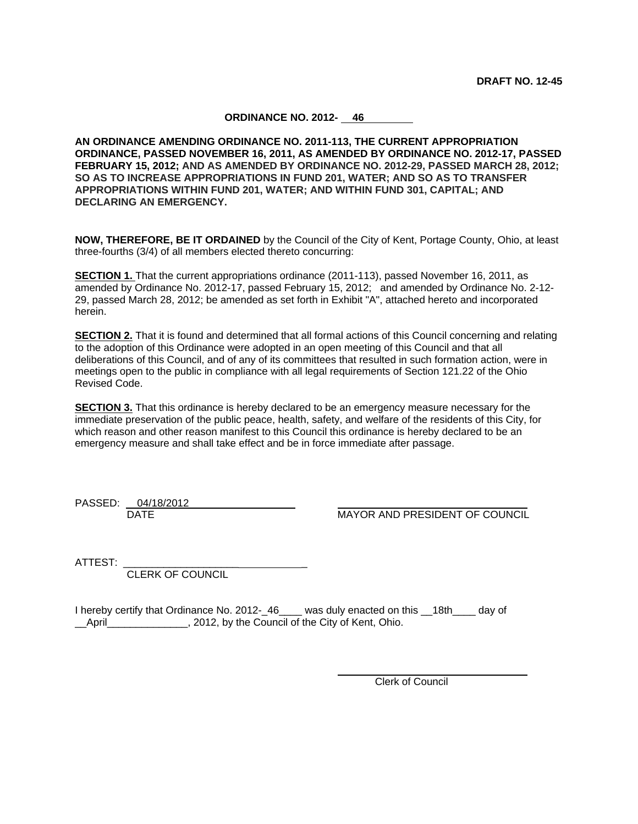## **ORDINANCE NO. 2012- 46**

**AN ORDINANCE AMENDING ORDINANCE NO. 2011-113, THE CURRENT APPROPRIATION ORDINANCE, PASSED NOVEMBER 16, 2011, AS AMENDED BY ORDINANCE NO. 2012-17, PASSED FEBRUARY 15, 2012; AND AS AMENDED BY ORDINANCE NO. 2012-29, PASSED MARCH 28, 2012; SO AS TO INCREASE APPROPRIATIONS IN FUND 201, WATER; AND SO AS TO TRANSFER APPROPRIATIONS WITHIN FUND 201, WATER; AND WITHIN FUND 301, CAPITAL; AND DECLARING AN EMERGENCY.**

**NOW, THEREFORE, BE IT ORDAINED** by the Council of the City of Kent, Portage County, Ohio, at least three-fourths (3/4) of all members elected thereto concurring:

**SECTION 1.** That the current appropriations ordinance (2011-113), passed November 16, 2011, as amended by Ordinance No. 2012-17, passed February 15, 2012; and amended by Ordinance No. 2-12- 29, passed March 28, 2012; be amended as set forth in Exhibit "A", attached hereto and incorporated herein.

**SECTION 2.** That it is found and determined that all formal actions of this Council concerning and relating to the adoption of this Ordinance were adopted in an open meeting of this Council and that all deliberations of this Council, and of any of its committees that resulted in such formation action, were in meetings open to the public in compliance with all legal requirements of Section 121.22 of the Ohio Revised Code.

**SECTION 3.** That this ordinance is hereby declared to be an emergency measure necessary for the immediate preservation of the public peace, health, safety, and welfare of the residents of this City, for which reason and other reason manifest to this Council this ordinance is hereby declared to be an emergency measure and shall take effect and be in force immediate after passage.

PASSED: 04/18/2012

DATE MAYOR AND PRESIDENT OF COUNCIL

ATTEST: \_\_\_\_\_\_\_\_\_\_\_\_\_\_\_\_\_\_\_\_ \_

CLERK OF COUNCIL

I hereby certify that Ordinance No. 2012-\_46\_\_\_\_ was duly enacted on this \_\_18th\_\_\_\_ day of \_\_April\_\_\_\_\_\_\_\_\_\_\_\_\_\_, 2012, by the Council of the City of Kent, Ohio.

 $\overline{a}$ 

Clerk of Council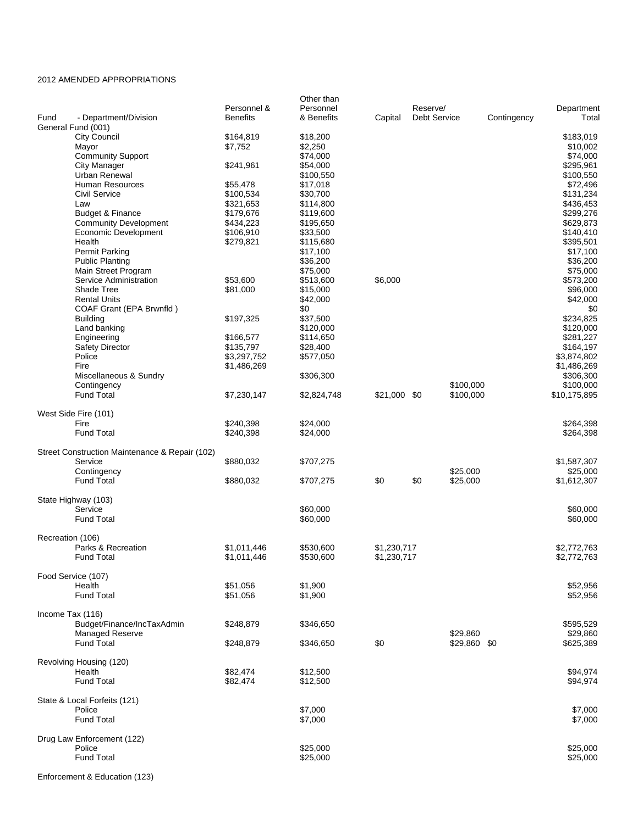## 2012 AMENDED APPROPRIATIONS

|                                                | Personnel &            | Other than<br>Personnel |              | Reserve/            |                          |             | Department             |
|------------------------------------------------|------------------------|-------------------------|--------------|---------------------|--------------------------|-------------|------------------------|
| Fund<br>- Department/Division                  | <b>Benefits</b>        | & Benefits              | Capital      | <b>Debt Service</b> |                          | Contingency | Total                  |
| General Fund (001)<br>City Council             | \$164,819              | \$18,200                |              |                     |                          |             | \$183,019              |
| Mayor                                          | \$7,752                | \$2,250                 |              |                     |                          |             | \$10,002               |
| <b>Community Support</b>                       |                        | \$74,000                |              |                     |                          |             | \$74,000               |
| City Manager                                   | \$241,961              | \$54,000                |              |                     |                          |             | \$295,961              |
| Urban Renewal                                  |                        | \$100,550               |              |                     |                          |             | \$100,550              |
| <b>Human Resources</b>                         | \$55,478               | \$17,018                |              |                     |                          |             | \$72,496               |
| <b>Civil Service</b><br>Law                    | \$100,534<br>\$321,653 | \$30,700<br>\$114,800   |              |                     |                          |             | \$131,234<br>\$436,453 |
| <b>Budget &amp; Finance</b>                    | \$179,676              | \$119,600               |              |                     |                          |             | \$299,276              |
| <b>Community Development</b>                   | \$434,223              | \$195,650               |              |                     |                          |             | \$629,873              |
| <b>Economic Development</b>                    | \$106,910              | \$33,500                |              |                     |                          |             | \$140,410              |
| Health                                         | \$279,821              | \$115,680               |              |                     |                          |             | \$395,501              |
| <b>Permit Parking</b>                          |                        | \$17,100                |              |                     |                          |             | \$17,100               |
| <b>Public Planting</b><br>Main Street Program  |                        | \$36,200<br>\$75,000    |              |                     |                          |             | \$36,200<br>\$75,000   |
| Service Administration                         | \$53,600               | \$513,600               | \$6,000      |                     |                          |             | \$573,200              |
| Shade Tree                                     | \$81,000               | \$15,000                |              |                     |                          |             | \$96,000               |
| <b>Rental Units</b>                            |                        | \$42,000                |              |                     |                          |             | \$42,000               |
| COAF Grant (EPA Brwnfld)                       |                        | \$0                     |              |                     |                          |             | \$0                    |
| <b>Building</b>                                | \$197,325              | \$37,500                |              |                     |                          |             | \$234,825              |
| Land banking                                   |                        | \$120,000               |              |                     |                          |             | \$120,000              |
| Engineering<br><b>Safety Director</b>          | \$166,577<br>\$135,797 | \$114,650<br>\$28,400   |              |                     |                          |             | \$281,227<br>\$164,197 |
| Police                                         | \$3,297,752            | \$577,050               |              |                     |                          |             | \$3,874,802            |
| Fire                                           | \$1,486,269            |                         |              |                     |                          |             | \$1,486,269            |
| Miscellaneous & Sundry                         |                        | \$306,300               |              |                     |                          |             | \$306,300              |
| Contingency                                    |                        |                         |              |                     | \$100,000                |             | \$100,000              |
| <b>Fund Total</b>                              | \$7,230,147            | \$2,824,748             | \$21,000 \$0 |                     | \$100,000                |             | \$10,175,895           |
| West Side Fire (101)                           |                        |                         |              |                     |                          |             |                        |
| Fire                                           | \$240,398              | \$24,000                |              |                     |                          |             | \$264,398              |
| <b>Fund Total</b>                              | \$240,398              | \$24,000                |              |                     |                          |             | \$264,398              |
| Street Construction Maintenance & Repair (102) |                        |                         |              |                     |                          |             |                        |
| Service                                        | \$880,032              | \$707,275               |              |                     |                          |             | \$1,587,307            |
| Contingency                                    |                        |                         |              |                     | \$25,000                 |             | \$25,000               |
| <b>Fund Total</b>                              | \$880,032              | \$707,275               | \$0          | \$0                 | \$25,000                 |             | \$1,612,307            |
| State Highway (103)                            |                        |                         |              |                     |                          |             |                        |
| Service                                        |                        | \$60,000                |              |                     |                          |             | \$60,000               |
| <b>Fund Total</b>                              |                        | \$60,000                |              |                     |                          |             | \$60,000               |
| Recreation (106)                               |                        |                         |              |                     |                          |             |                        |
| Parks & Recreation                             | \$1,011,446            | \$530,600               | \$1,230,717  |                     |                          |             | \$2,772,763            |
| Fund Total                                     | \$1,011,446            | \$530,600               | \$1,230,717  |                     |                          |             | \$2,772,763            |
|                                                |                        |                         |              |                     |                          |             |                        |
| Food Service (107)<br>Health                   | \$51,056               | \$1,900                 |              |                     |                          |             | \$52,956               |
| <b>Fund Total</b>                              | \$51,056               | \$1,900                 |              |                     |                          |             | \$52,956               |
|                                                |                        |                         |              |                     |                          |             |                        |
| Income Tax (116)                               |                        |                         |              |                     |                          |             |                        |
| Budget/Finance/IncTaxAdmin                     | \$248,879              | \$346,650               |              |                     |                          |             | \$595,529              |
| <b>Managed Reserve</b><br><b>Fund Total</b>    |                        |                         | \$0          |                     | \$29,860<br>\$29,860 \$0 |             | \$29,860               |
|                                                | \$248,879              | \$346,650               |              |                     |                          |             | \$625,389              |
| Revolving Housing (120)                        |                        |                         |              |                     |                          |             |                        |
| Health                                         | \$82,474               | \$12,500                |              |                     |                          |             | \$94,974               |
| <b>Fund Total</b>                              | \$82,474               | \$12,500                |              |                     |                          |             | \$94,974               |
| State & Local Forfeits (121)                   |                        |                         |              |                     |                          |             |                        |
| Police                                         |                        | \$7,000                 |              |                     |                          |             | \$7,000                |
| <b>Fund Total</b>                              |                        | \$7,000                 |              |                     |                          |             | \$7,000                |
| Drug Law Enforcement (122)                     |                        |                         |              |                     |                          |             |                        |
| Police                                         |                        | \$25,000                |              |                     |                          |             | \$25,000               |
| <b>Fund Total</b>                              |                        | \$25,000                |              |                     |                          |             | \$25,000               |
|                                                |                        |                         |              |                     |                          |             |                        |

Enforcement & Education (123)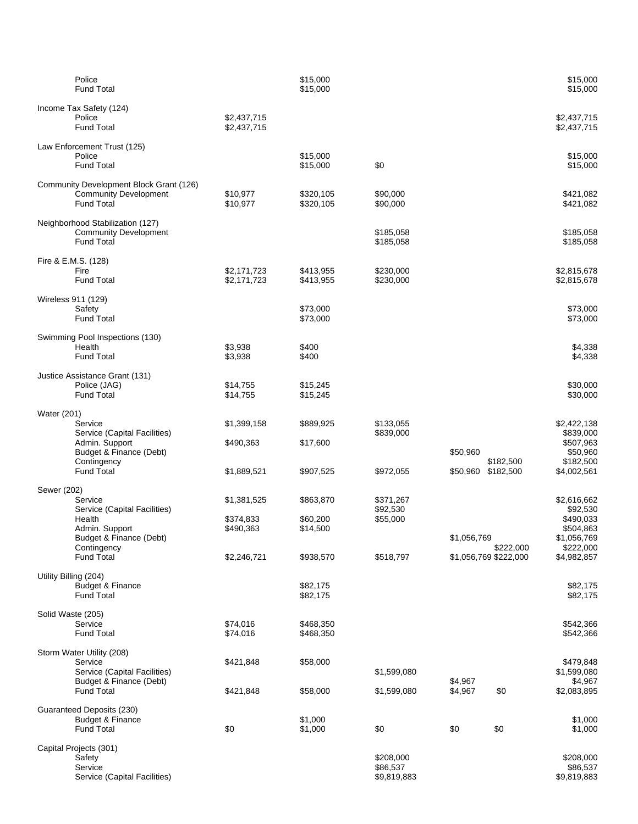| Police<br><b>Fund Total</b>                                                                                                                       |                                                      | \$15,000<br>\$15,000                           |                                                |                    |                                    | \$15,000<br>\$15,000                                                                         |
|---------------------------------------------------------------------------------------------------------------------------------------------------|------------------------------------------------------|------------------------------------------------|------------------------------------------------|--------------------|------------------------------------|----------------------------------------------------------------------------------------------|
| Income Tax Safety (124)<br>Police<br><b>Fund Total</b>                                                                                            | \$2,437,715<br>\$2,437,715                           |                                                |                                                |                    |                                    | \$2,437,715<br>\$2,437,715                                                                   |
| Law Enforcement Trust (125)<br>Police<br><b>Fund Total</b>                                                                                        |                                                      | \$15,000<br>\$15,000                           | \$0                                            |                    |                                    | \$15,000<br>\$15,000                                                                         |
| Community Development Block Grant (126)<br><b>Community Development</b><br><b>Fund Total</b>                                                      | \$10,977<br>\$10,977                                 | \$320,105<br>\$320,105                         | \$90,000<br>\$90,000                           |                    |                                    | \$421,082<br>\$421,082                                                                       |
| Neighborhood Stabilization (127)<br><b>Community Development</b><br><b>Fund Total</b>                                                             |                                                      |                                                | \$185,058<br>\$185,058                         |                    |                                    | \$185,058<br>\$185,058                                                                       |
| Fire & E.M.S. (128)<br>Fire<br><b>Fund Total</b>                                                                                                  | \$2,171,723<br>\$2,171,723                           | \$413,955<br>\$413,955                         | \$230,000<br>\$230,000                         |                    |                                    | \$2,815,678<br>\$2,815,678                                                                   |
| Wireless 911 (129)<br>Safety<br><b>Fund Total</b>                                                                                                 |                                                      | \$73,000<br>\$73,000                           |                                                |                    |                                    | \$73,000<br>\$73,000                                                                         |
| Swimming Pool Inspections (130)<br>Health<br><b>Fund Total</b>                                                                                    | \$3,938<br>\$3,938                                   | \$400<br>\$400                                 |                                                |                    |                                    | \$4,338<br>\$4,338                                                                           |
| Justice Assistance Grant (131)<br>Police (JAG)<br><b>Fund Total</b>                                                                               | \$14,755<br>\$14,755                                 | \$15,245<br>\$15,245                           |                                                |                    |                                    | \$30,000<br>\$30,000                                                                         |
| Water (201)<br>Service<br>Service (Capital Facilities)<br>Admin. Support<br>Budget & Finance (Debt)                                               | \$1,399,158<br>\$490,363                             | \$889,925<br>\$17,600                          | \$133,055<br>\$839,000                         | \$50,960           |                                    | \$2,422,138<br>\$839,000<br>\$507,963<br>\$50,960                                            |
| Contingency<br><b>Fund Total</b>                                                                                                                  | \$1,889,521                                          | \$907,525                                      | \$972,055                                      | \$50,960           | \$182,500<br>\$182,500             | \$182,500<br>\$4,002,561                                                                     |
| Sewer (202)<br>Service<br>Service (Capital Facilities)<br>Health<br>Admin. Support<br>Budget & Finance (Debt)<br>Contingency<br><b>Fund Total</b> | \$1,381,525<br>\$374,833<br>\$490,363<br>\$2,246,721 | \$863,870<br>\$60,200<br>\$14,500<br>\$938,570 | \$371,267<br>\$92,530<br>\$55,000<br>\$518,797 | \$1,056,769        | \$222,000<br>\$1,056,769 \$222,000 | \$2,616,662<br>\$92,530<br>\$490.033<br>\$504,863<br>\$1,056,769<br>\$222,000<br>\$4,982,857 |
| Utility Billing (204)<br><b>Budget &amp; Finance</b><br><b>Fund Total</b>                                                                         |                                                      | \$82,175<br>\$82,175                           |                                                |                    |                                    | \$82,175<br>\$82,175                                                                         |
| Solid Waste (205)<br>Service<br><b>Fund Total</b>                                                                                                 | \$74,016<br>\$74,016                                 | \$468,350<br>\$468,350                         |                                                |                    |                                    | \$542,366<br>\$542,366                                                                       |
| Storm Water Utility (208)<br>Service<br>Service (Capital Facilities)<br>Budget & Finance (Debt)<br><b>Fund Total</b>                              | \$421,848<br>\$421,848                               | \$58,000<br>\$58,000                           | \$1,599,080<br>\$1,599,080                     | \$4,967<br>\$4,967 | \$0                                | \$479,848<br>\$1,599,080<br>\$4,967<br>\$2,083,895                                           |
| Guaranteed Deposits (230)<br><b>Budget &amp; Finance</b><br><b>Fund Total</b>                                                                     | \$0                                                  | \$1,000<br>\$1,000                             | \$0                                            | \$0                | \$0                                | \$1,000<br>\$1,000                                                                           |
| Capital Projects (301)<br>Safety<br>Service<br>Service (Capital Facilities)                                                                       |                                                      |                                                | \$208,000<br>\$86,537<br>\$9,819,883           |                    |                                    | \$208,000<br>\$86,537<br>\$9,819,883                                                         |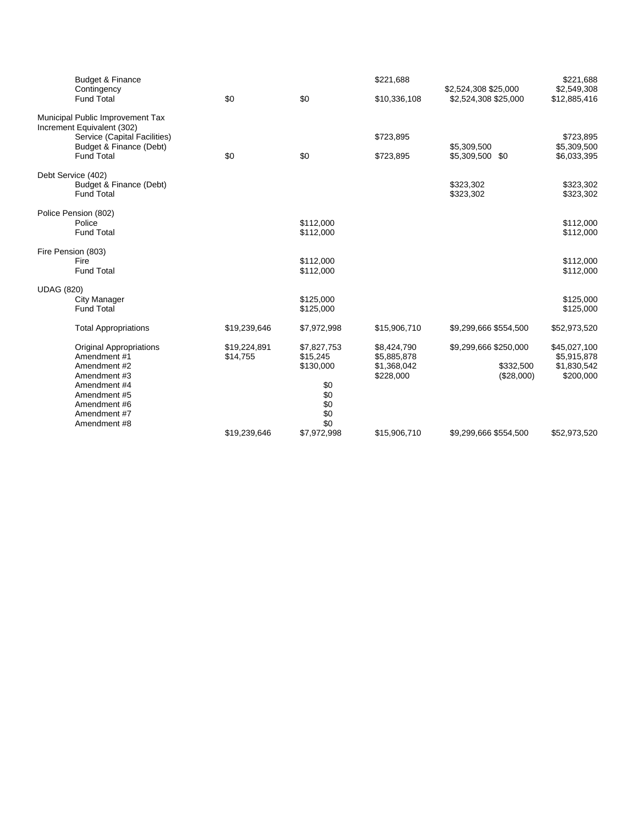|                   | Budget & Finance<br>Contingency                                |              |             | \$221,688    | \$2,524,308 \$25,000           | \$221,688<br>\$2,549,308   |
|-------------------|----------------------------------------------------------------|--------------|-------------|--------------|--------------------------------|----------------------------|
|                   | <b>Fund Total</b>                                              | \$0          | \$0         | \$10,336,108 | \$2,524,308 \$25,000           | \$12,885,416               |
|                   | Municipal Public Improvement Tax<br>Increment Equivalent (302) |              |             |              |                                |                            |
|                   | Service (Capital Facilities)                                   |              |             | \$723,895    |                                | \$723,895                  |
|                   | Budget & Finance (Debt)<br><b>Fund Total</b>                   | \$0          | \$0         | \$723,895    | \$5,309,500<br>\$5,309,500 \$0 | \$5,309,500<br>\$6,033,395 |
|                   | Debt Service (402)                                             |              |             |              |                                |                            |
|                   | Budget & Finance (Debt)<br><b>Fund Total</b>                   |              |             |              | \$323,302<br>\$323,302         | \$323,302<br>\$323,302     |
|                   | Police Pension (802)                                           |              |             |              |                                |                            |
|                   | Police                                                         |              | \$112,000   |              |                                | \$112,000                  |
|                   | <b>Fund Total</b>                                              |              | \$112,000   |              |                                | \$112,000                  |
|                   | Fire Pension (803)                                             |              |             |              |                                |                            |
|                   | Fire                                                           |              | \$112,000   |              |                                | \$112,000                  |
|                   | <b>Fund Total</b>                                              |              | \$112,000   |              |                                | \$112,000                  |
| <b>UDAG (820)</b> |                                                                |              |             |              |                                |                            |
|                   | City Manager                                                   |              | \$125,000   |              |                                | \$125,000                  |
|                   | <b>Fund Total</b>                                              |              | \$125,000   |              |                                | \$125,000                  |
|                   | <b>Total Appropriations</b>                                    | \$19,239,646 | \$7,972,998 | \$15,906,710 | \$9,299,666 \$554,500          | \$52,973,520               |
|                   | <b>Original Appropriations</b>                                 | \$19,224,891 | \$7,827,753 | \$8,424,790  | \$9,299,666 \$250,000          | \$45,027,100               |
|                   | Amendment #1                                                   | \$14,755     | \$15,245    | \$5,885,878  |                                | \$5,915,878                |
|                   | Amendment #2                                                   |              | \$130,000   | \$1,368,042  | \$332,500                      | \$1,830,542                |
|                   | Amendment #3                                                   |              |             | \$228,000    | (\$28,000)                     | \$200,000                  |
|                   | Amendment #4<br>Amendment #5                                   |              | \$0<br>\$0  |              |                                |                            |
|                   | Amendment #6                                                   |              | \$0         |              |                                |                            |
|                   | Amendment #7                                                   |              | \$0         |              |                                |                            |
|                   | Amendment #8                                                   |              | \$0         |              |                                |                            |
|                   |                                                                | \$19,239,646 | \$7,972,998 | \$15,906,710 | \$9,299,666 \$554,500          | \$52,973,520               |